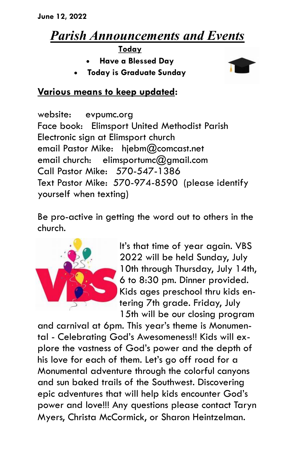## *Parish Announcements and Events*

**Today**

- **Have a Blessed Day**
- **Today is Graduate Sunday**



## **Various means to keep updated:**

website: evpumc.org Face book: Elimsport United Methodist Parish Electronic sign at Elimsport church email Pastor Mike: hjebm@comcast.net email church: elimsportumc@gmail.com Call Pastor Mike: 570-547-1386 Text Pastor Mike: 570-974-8590 (please identify yourself when texting)

Be pro-active in getting the word out to others in the church.



It's that time of year again. VBS 2022 will be held Sunday, July 10th through Thursday, July 14th, 6 to 8:30 pm. Dinner provided. Kids ages preschool thru kids entering 7th grade. Friday, July 15th will be our closing program

and carnival at 6pm. This year's theme is Monumental - Celebrating God's Awesomeness!! Kids will explore the vastness of God's power and the depth of his love for each of them. Let's go off road for a Monumental adventure through the colorful canyons and sun baked trails of the Southwest. Discovering epic adventures that will help kids encounter God's power and love!!! Any questions please contact Taryn Myers, Christa McCormick, or Sharon Heintzelman.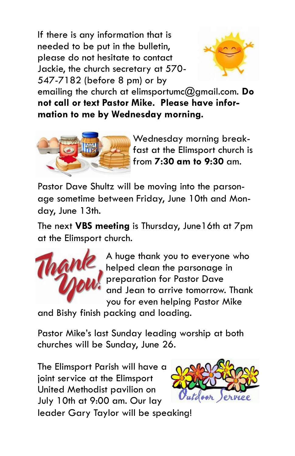If there is any information that is needed to be put in the bulletin, please do not hesitate to contact Jackie, the church secretary at 570- 547-7182 (before 8 pm) or by



emailing the church at elimsportumc@gmail.com. **Do not call or text Pastor Mike. Please have information to me by Wednesday morning.**



Wednesday morning breakfast at the Elimsport church is from **7:30 am to 9:30** am.

Pastor Dave Shultz will be moving into the parsonage sometime between Friday, June 10th and Monday, June 13th.

The next **VBS meeting** is Thursday, June16th at 7pm at the Elimsport church.



A huge thank you to everyone who helped clean the parsonage in preparation for Pastor Dave and Jean to arrive tomorrow. Thank you for even helping Pastor Mike

and Bishy finish packing and loading.

Pastor Mike's last Sunday leading worship at both churches will be Sunday, June 26.

The Elimsport Parish will have a joint service at the Elimsport United Methodist pavilion on July 10th at 9:00 am. Our lay



leader Gary Taylor will be speaking!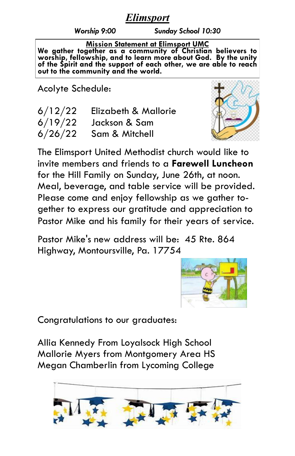## *Elimsport*

*Worship 9:00 Sunday School 10:30*

**Mission Statement at Elimsport UMC We gather together as a community of Christian believers to worship, fellowship, and to learn more about God. By the unity of the Spirit and the support of each other, we are able to reach out to the community and the world.**

Acolyte Schedule:

| 6/12/22 | Elizabeth & Mallorie     |
|---------|--------------------------|
| 6/19/22 | Jackson & Sam            |
|         | $6/26/22$ Sam & Mitchell |



Pastor Mike's new address will be: 45 Rte. 864 Highway, Montoursville, Pa. 17754



Congratulations to our graduates:

Allia Kennedy From Loyalsock High School Mallorie Myers from Montgomery Area HS Megan Chamberlin from Lycoming College